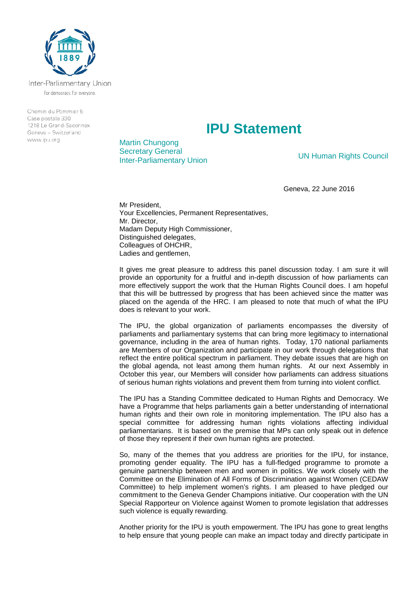

Inter-Parliamentary Union For democracy. For everyone.

Chemin du Pommier 5 Case postale 330 1218 Le Grand-Saconnex Geneva - Switzerland www.ipu.org

## **IPU Statement**

Martin Chungong Secretary General **Inter-Parliamentary Union** UN Human Rights Council

Geneva, 22 June 2016

Mr President, Your Excellencies, Permanent Representatives, Mr. Director, Madam Deputy High Commissioner, Distinguished delegates, Colleagues of OHCHR, Ladies and gentlemen,

It gives me great pleasure to address this panel discussion today. I am sure it will provide an opportunity for a fruitful and in-depth discussion of how parliaments can more effectively support the work that the Human Rights Council does. I am hopeful that this will be buttressed by progress that has been achieved since the matter was placed on the agenda of the HRC. I am pleased to note that much of what the IPU does is relevant to your work.

The IPU, the global organization of parliaments encompasses the diversity of parliaments and parliamentary systems that can bring more legitimacy to international governance, including in the area of human rights. Today, 170 national parliaments are Members of our Organization and participate in our work through delegations that reflect the entire political spectrum in parliament. They debate issues that are high on the global agenda, not least among them human rights. At our next Assembly in October this year, our Members will consider how parliaments can address situations of serious human rights violations and prevent them from turning into violent conflict.

The IPU has a Standing Committee dedicated to Human Rights and Democracy. We have a Programme that helps parliaments gain a better understanding of international human rights and their own role in monitoring implementation. The IPU also has a special committee for addressing human rights violations affecting individual parliamentarians. It is based on the premise that MPs can only speak out in defence of those they represent if their own human rights are protected.

So, many of the themes that you address are priorities for the IPU, for instance, promoting gender equality. The IPU has a full-fledged programme to promote a genuine partnership between men and women in politics. We work closely with the Committee on the Elimination of All Forms of Discrimination against Women (CEDAW Committee) to help implement women's rights. I am pleased to have pledged our commitment to the Geneva Gender Champions initiative. Our cooperation with the UN Special Rapporteur on Violence against Women to promote legislation that addresses such violence is equally rewarding.

Another priority for the IPU is youth empowerment. The IPU has gone to great lengths to help ensure that young people can make an impact today and directly participate in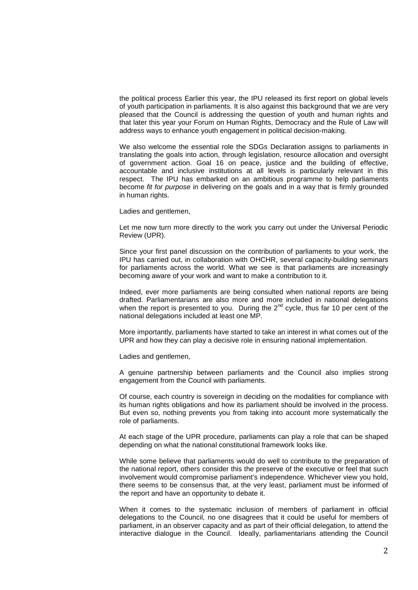the political process Earlier this year, the IPU released its first report on global levels of youth participation in parliaments. It is also against this background that we are very pleased that the Council is addressing the question of youth and human rights and that later this year your Forum on Human Rights, Democracy and the Rule of Law will address ways to enhance youth engagement in political decision-making.

We also welcome the essential role the SDGs Declaration assigns to parliaments in translating the goals into action, through legislation, resource allocation and oversight of government action. Goal 16 on peace, justice and the building of effective, accountable and inclusive institutions at all levels is particularly relevant in this respect. The IPU has embarked on an ambitious programme to help parliaments become *fit for purpose* in delivering on the goals and in a way that is firmly grounded in human rights.

Ladies and gentlemen,

Let me now turn more directly to the work you carry out under the Universal Periodic Review (UPR).

Since your first panel discussion on the contribution of parliaments to your work, the IPU has carried out, in collaboration with OHCHR, several capacity-building seminars for parliaments across the world. What we see is that parliaments are increasingly becoming aware of your work and want to make a contribution to it.

Indeed, ever more parliaments are being consulted when national reports are being drafted. Parliamentarians are also more and more included in national delegations when the report is presented to you. During the  $2^{nd}$  cycle, thus far 10 per cent of the national delegations included at least one MP.

More importantly, parliaments have started to take an interest in what comes out of the UPR and how they can play a decisive role in ensuring national implementation.

Ladies and gentlemen,

A genuine partnership between parliaments and the Council also implies strong engagement from the Council with parliaments.

Of course, each country is sovereign in deciding on the modalities for compliance with its human rights obligations and how its parliament should be involved in the process. But even so, nothing prevents you from taking into account more systematically the role of parliaments.

At each stage of the UPR procedure, parliaments can play a role that can be shaped depending on what the national constitutional framework looks like.

While some believe that parliaments would do well to contribute to the preparation of the national report, others consider this the preserve of the executive or feel that such involvement would compromise parliament's independence. Whichever view you hold, there seems to be consensus that, at the very least, parliament must be informed of the report and have an opportunity to debate it.

When it comes to the systematic inclusion of members of parliament in official delegations to the Council, no one disagrees that it could be useful for members of parliament, in an observer capacity and as part of their official delegation, to attend the interactive dialogue in the Council. Ideally, parliamentarians attending the Council